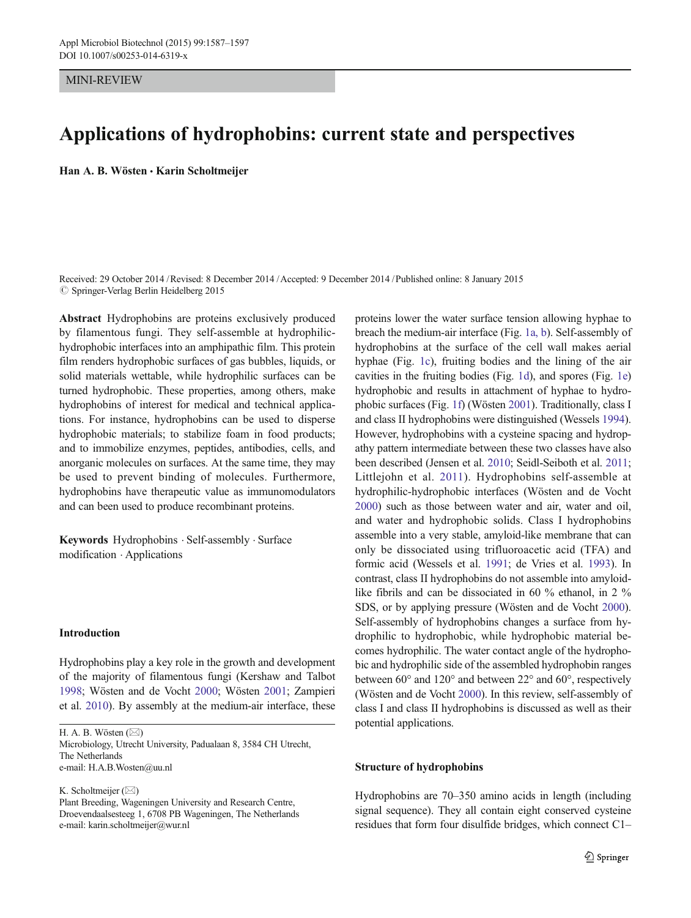## MINI-REVIEW

# Applications of hydrophobins: current state and perspectives

Han A. B. Wösten · Karin Scholtmeijer

Received: 29 October 2014 /Revised: 8 December 2014 /Accepted: 9 December 2014 /Published online: 8 January 2015  $\oslash$  Springer-Verlag Berlin Heidelberg 2015

Abstract Hydrophobins are proteins exclusively produced by filamentous fungi. They self-assemble at hydrophilichydrophobic interfaces into an amphipathic film. This protein film renders hydrophobic surfaces of gas bubbles, liquids, or solid materials wettable, while hydrophilic surfaces can be turned hydrophobic. These properties, among others, make hydrophobins of interest for medical and technical applications. For instance, hydrophobins can be used to disperse hydrophobic materials; to stabilize foam in food products; and to immobilize enzymes, peptides, antibodies, cells, and anorganic molecules on surfaces. At the same time, they may be used to prevent binding of molecules. Furthermore, hydrophobins have therapeutic value as immunomodulators and can been used to produce recombinant proteins.

Keywords Hydrophobins . Self-assembly . Surface modification . Applications

## Introduction

Hydrophobins play a key role in the growth and development of the majority of filamentous fungi (Kershaw and Talbot [1998;](#page-8-0) Wösten and de Vocht [2000;](#page-10-0) Wösten [2001](#page-10-0); Zampieri et al. [2010](#page-10-0)). By assembly at the medium-air interface, these

H. A. B. Wösten  $(\boxtimes)$ 

Microbiology, Utrecht University, Padualaan 8, 3584 CH Utrecht, The Netherlands e-mail: H.A.B.Wosten@uu.nl

K. Scholtmeijer  $(\boxtimes)$ 

proteins lower the water surface tension allowing hyphae to breach the medium-air interface (Fig. [1a, b](#page-1-0)). Self-assembly of hydrophobins at the surface of the cell wall makes aerial hyphae (Fig. [1c\)](#page-1-0), fruiting bodies and the lining of the air cavities in the fruiting bodies (Fig. [1d](#page-1-0)), and spores (Fig. [1e](#page-1-0)) hydrophobic and results in attachment of hyphae to hydrophobic surfaces (Fig. [1f\)](#page-1-0) (Wösten [2001](#page-10-0)). Traditionally, class I and class II hydrophobins were distinguished (Wessels [1994\)](#page-10-0). However, hydrophobins with a cysteine spacing and hydropathy pattern intermediate between these two classes have also been described (Jensen et al. [2010;](#page-8-0) Seidl-Seiboth et al. [2011;](#page-9-0) Littlejohn et al. [2011\)](#page-8-0). Hydrophobins self-assemble at hydrophilic-hydrophobic interfaces (Wösten and de Vocht [2000\)](#page-10-0) such as those between water and air, water and oil, and water and hydrophobic solids. Class I hydrophobins assemble into a very stable, amyloid-like membrane that can only be dissociated using trifluoroacetic acid (TFA) and formic acid (Wessels et al. [1991](#page-10-0); de Vries et al. [1993\)](#page-7-0). In contrast, class II hydrophobins do not assemble into amyloidlike fibrils and can be dissociated in 60 % ethanol, in 2 % SDS, or by applying pressure (Wösten and de Vocht [2000\)](#page-10-0). Self-assembly of hydrophobins changes a surface from hydrophilic to hydrophobic, while hydrophobic material becomes hydrophilic. The water contact angle of the hydrophobic and hydrophilic side of the assembled hydrophobin ranges between 60° and 120° and between 22° and 60°, respectively (Wösten and de Vocht [2000\)](#page-10-0). In this review, self-assembly of class I and class II hydrophobins is discussed as well as their potential applications.

#### Structure of hydrophobins

Hydrophobins are 70–350 amino acids in length (including signal sequence). They all contain eight conserved cysteine residues that form four disulfide bridges, which connect C1–

Plant Breeding, Wageningen University and Research Centre, Droevendaalsesteeg 1, 6708 PB Wageningen, The Netherlands e-mail: karin.scholtmeijer@wur.nl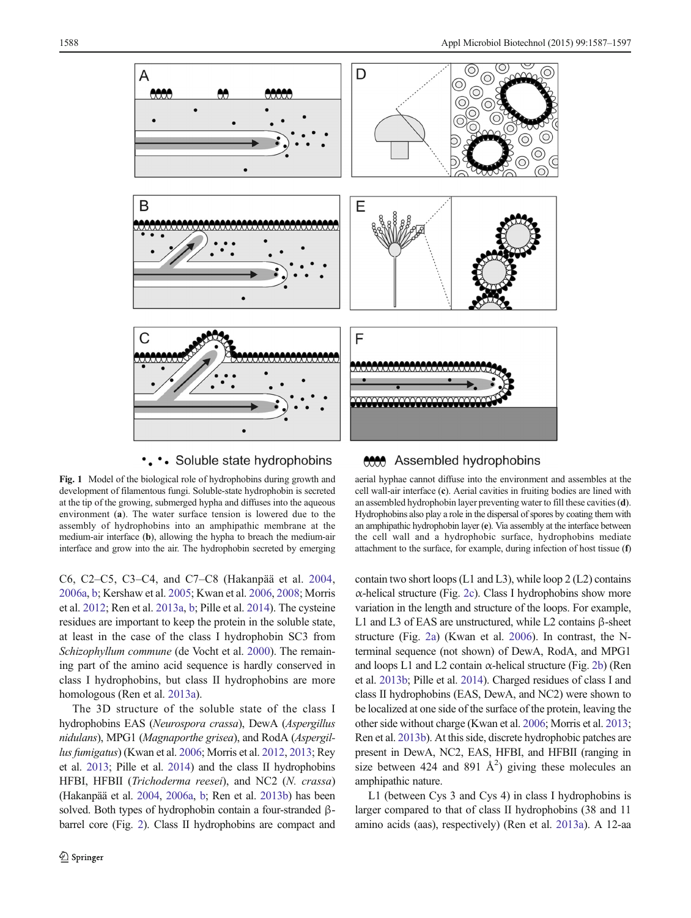<span id="page-1-0"></span>

# ... Soluble state hydrophobins

Fig. 1 Model of the biological role of hydrophobins during growth and development of filamentous fungi. Soluble-state hydrophobin is secreted at the tip of the growing, submerged hypha and diffuses into the aqueous environment (a). The water surface tension is lowered due to the assembly of hydrophobins into an amphipathic membrane at the medium-air interface (b), allowing the hypha to breach the medium-air interface and grow into the air. The hydrophobin secreted by emerging

C6, C2–C5, C3–C4, and C7–C8 (Hakanpää et al. [2004,](#page-7-0) [2006a,](#page-7-0) [b](#page-7-0); Kershaw et al. [2005;](#page-8-0) Kwan et al. [2006](#page-8-0), [2008](#page-8-0); Morris et al. [2012](#page-8-0); Ren et al. [2013a](#page-9-0), [b;](#page-9-0) Pille et al. [2014](#page-9-0)). The cysteine residues are important to keep the protein in the soluble state, at least in the case of the class I hydrophobin SC3 from Schizophyllum commune (de Vocht et al. [2000\)](#page-7-0). The remaining part of the amino acid sequence is hardly conserved in class I hydrophobins, but class II hydrophobins are more homologous (Ren et al. [2013a\)](#page-9-0).

The 3D structure of the soluble state of the class I hydrophobins EAS (Neurospora crassa), DewA (Aspergillus nidulans), MPG1 (Magnaporthe grisea), and RodA (Aspergillus fumigatus) (Kwan et al. [2006;](#page-8-0) Morris et al. [2012](#page-8-0), [2013;](#page-8-0) Rey et al. [2013;](#page-9-0) Pille et al. [2014](#page-9-0)) and the class II hydrophobins HFBI, HFBII (Trichoderma reesei), and NC2 (N. crassa) (Hakanpää et al. [2004](#page-7-0), [2006a,](#page-7-0) [b](#page-7-0); Ren et al. [2013b](#page-9-0)) has been solved. Both types of hydrophobin contain a four-stranded βbarrel core (Fig. [2\)](#page-2-0). Class II hydrophobins are compact and

#### Assembled hydrophobins  $\bigcirc$

aerial hyphae cannot diffuse into the environment and assembles at the cell wall-air interface (c). Aerial cavities in fruiting bodies are lined with an assembled hydrophobin layer preventing water to fill these cavities (d). Hydrophobins also play a role in the dispersal of spores by coating them with an amphipathic hydrophobin layer (e). Via assembly at the interface between the cell wall and a hydrophobic surface, hydrophobins mediate attachment to the surface, for example, during infection of host tissue (f)

contain two short loops (L1 and L3), while loop 2 (L2) contains α-helical structure (Fig. [2c\)](#page-2-0). Class I hydrophobins show more variation in the length and structure of the loops. For example, L1 and L3 of EAS are unstructured, while L2 contains β-sheet structure (Fig. [2a\)](#page-2-0) (Kwan et al. [2006\)](#page-8-0). In contrast, the Nterminal sequence (not shown) of DewA, RodA, and MPG1 and loops L1 and L2 contain  $\alpha$ -helical structure (Fig. [2b](#page-2-0)) (Ren et al. [2013b](#page-9-0); Pille et al. [2014\)](#page-9-0). Charged residues of class I and class II hydrophobins (EAS, DewA, and NC2) were shown to be localized at one side of the surface of the protein, leaving the other side without charge (Kwan et al. [2006](#page-8-0); Morris et al. [2013;](#page-8-0) Ren et al. [2013b](#page-9-0)). At this side, discrete hydrophobic patches are present in DewA, NC2, EAS, HFBI, and HFBII (ranging in size between 424 and 891  $\AA^2$ ) giving these molecules an amphipathic nature.

L1 (between Cys 3 and Cys 4) in class I hydrophobins is larger compared to that of class II hydrophobins (38 and 11 amino acids (aas), respectively) (Ren et al. [2013a](#page-9-0)). A 12-aa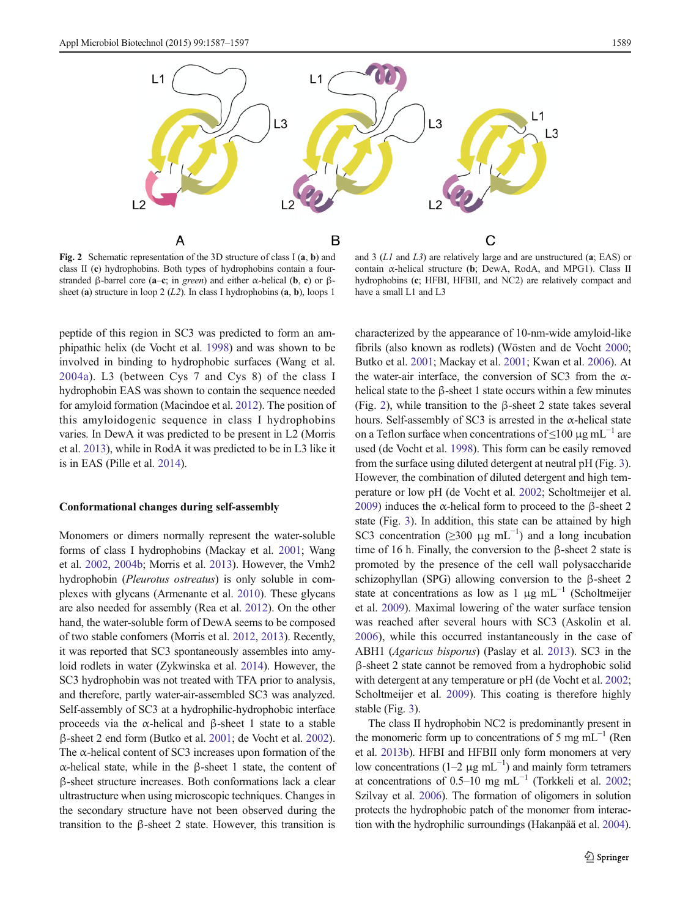<span id="page-2-0"></span>

Fig. 2 Schematic representation of the 3D structure of class I (a, b) and class II (c) hydrophobins. Both types of hydrophobins contain a fourstranded β-barrel core (a–c; in green) and either α-helical (b, c) or βsheet (a) structure in loop 2  $(L2)$ . In class I hydrophobins (a, b), loops 1

and 3 (L1 and L3) are relatively large and are unstructured (a; EAS) or contain  $\alpha$ -helical structure (b; DewA, RodA, and MPG1). Class II hydrophobins (c; HFBI, HFBII, and NC2) are relatively compact and have a small L1 and L3

peptide of this region in SC3 was predicted to form an amphipathic helix (de Vocht et al. [1998](#page-7-0)) and was shown to be involved in binding to hydrophobic surfaces (Wang et al. [2004a\)](#page-9-0). L3 (between Cys 7 and Cys 8) of the class I hydrophobin EAS was shown to contain the sequence needed for amyloid formation (Macindoe et al. [2012\)](#page-8-0). The position of this amyloidogenic sequence in class I hydrophobins varies. In DewA it was predicted to be present in L2 (Morris et al. [2013\)](#page-8-0), while in RodA it was predicted to be in L3 like it is in EAS (Pille et al. [2014\)](#page-9-0).

#### Conformational changes during self-assembly

Monomers or dimers normally represent the water-soluble forms of class I hydrophobins (Mackay et al. [2001;](#page-8-0) Wang et al. [2002](#page-9-0), [2004b](#page-9-0); Morris et al. [2013](#page-8-0)). However, the Vmh2 hydrophobin (Pleurotus ostreatus) is only soluble in complexes with glycans (Armenante et al. [2010](#page-7-0)). These glycans are also needed for assembly (Rea et al. [2012\)](#page-9-0). On the other hand, the water-soluble form of DewA seems to be composed of two stable confomers (Morris et al. [2012](#page-8-0), [2013\)](#page-8-0). Recently, it was reported that SC3 spontaneously assembles into amyloid rodlets in water (Zykwinska et al. [2014](#page-10-0)). However, the SC3 hydrophobin was not treated with TFA prior to analysis, and therefore, partly water-air-assembled SC3 was analyzed. Self-assembly of SC3 at a hydrophilic-hydrophobic interface proceeds via the α-helical and β-sheet 1 state to a stable β-sheet 2 end form (Butko et al. [2001;](#page-7-0) de Vocht et al. [2002\)](#page-7-0). The  $\alpha$ -helical content of SC3 increases upon formation of the α-helical state, while in the β-sheet 1 state, the content of β-sheet structure increases. Both conformations lack a clear ultrastructure when using microscopic techniques. Changes in the secondary structure have not been observed during the transition to the β-sheet 2 state. However, this transition is characterized by the appearance of 10-nm-wide amyloid-like fibrils (also known as rodlets) (Wösten and de Vocht [2000;](#page-10-0) Butko et al. [2001;](#page-7-0) Mackay et al. [2001;](#page-8-0) Kwan et al. [2006](#page-8-0)). At the water-air interface, the conversion of SC3 from the  $\alpha$ helical state to the β-sheet 1 state occurs within a few minutes (Fig. 2), while transition to the β-sheet 2 state takes several hours. Self-assembly of SC3 is arrested in the  $\alpha$ -helical state on a Teflon surface when concentrations of  $\leq 100 \text{ µg m}$ L<sup>-1</sup> are used (de Vocht et al. [1998\)](#page-7-0). This form can be easily removed from the surface using diluted detergent at neutral pH (Fig. [3\)](#page-3-0). However, the combination of diluted detergent and high temperature or low pH (de Vocht et al. [2002](#page-7-0); Scholtmeijer et al. [2009\)](#page-9-0) induces the α-helical form to proceed to the β-sheet 2 state (Fig. [3\)](#page-3-0). In addition, this state can be attained by high SC3 concentration ( $\geq$ 300 µg mL<sup>-1</sup>) and a long incubation time of 16 h. Finally, the conversion to the β-sheet 2 state is promoted by the presence of the cell wall polysaccharide schizophyllan (SPG) allowing conversion to the β-sheet 2 state at concentrations as low as 1 μg mL<sup> $-1$ </sup> (Scholtmeijer et al. [2009\)](#page-9-0). Maximal lowering of the water surface tension was reached after several hours with SC3 (Askolin et al. [2006](#page-7-0)), while this occurred instantaneously in the case of ABH1 (Agaricus bisporus) (Paslay et al. [2013\)](#page-8-0). SC3 in the β-sheet 2 state cannot be removed from a hydrophobic solid with detergent at any temperature or pH (de Vocht et al. [2002;](#page-7-0) Scholtmeijer et al. [2009\)](#page-9-0). This coating is therefore highly stable (Fig. [3](#page-3-0)).

The class II hydrophobin NC2 is predominantly present in the monomeric form up to concentrations of 5 mg mL<sup> $-1$ </sup> (Ren et al. [2013b\)](#page-9-0). HFBI and HFBII only form monomers at very low concentrations ( $1-2 \mu g$  mL<sup>-1</sup>) and mainly form tetramers at concentrations of 0.5–10 mg mL<sup>-1</sup> (Torkkeli et al. [2002;](#page-9-0) Szilvay et al. [2006\)](#page-9-0). The formation of oligomers in solution protects the hydrophobic patch of the monomer from interaction with the hydrophilic surroundings (Hakanpää et al. [2004\)](#page-7-0).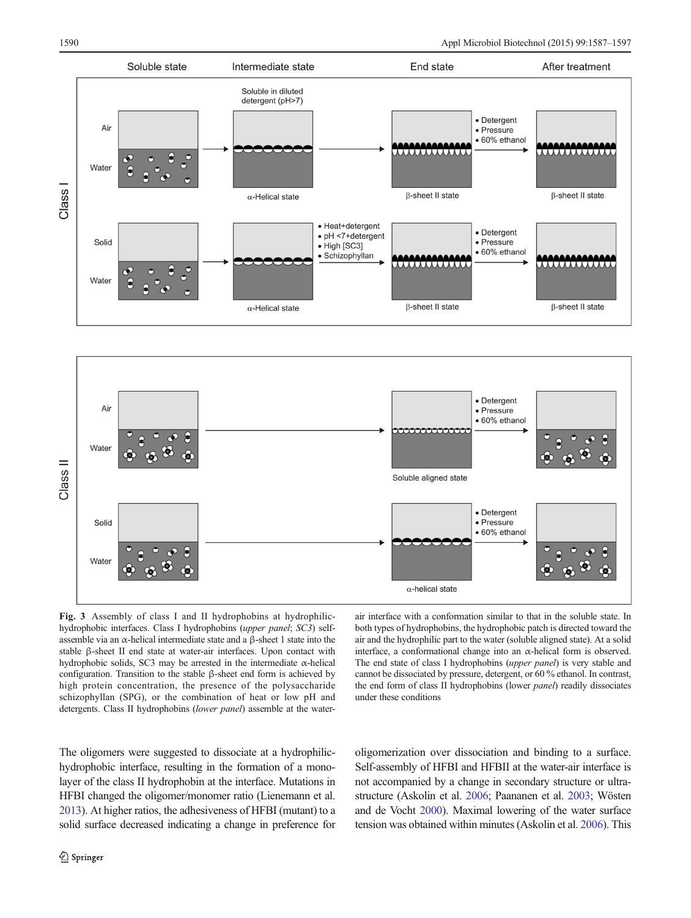<span id="page-3-0"></span>



Fig. 3 Assembly of class I and II hydrophobins at hydrophilichydrophobic interfaces. Class I hydrophobins (upper panel; SC3) selfassemble via an α-helical intermediate state and a β-sheet 1 state into the stable β-sheet II end state at water-air interfaces. Upon contact with hydrophobic solids, SC3 may be arrested in the intermediate α-helical configuration. Transition to the stable β-sheet end form is achieved by high protein concentration, the presence of the polysaccharide schizophyllan (SPG), or the combination of heat or low pH and detergents. Class II hydrophobins (lower panel) assemble at the water-

air interface with a conformation similar to that in the soluble state. In both types of hydrophobins, the hydrophobic patch is directed toward the air and the hydrophilic part to the water (soluble aligned state). At a solid interface, a conformational change into an α-helical form is observed. The end state of class I hydrophobins (upper panel) is very stable and cannot be dissociated by pressure, detergent, or 60 % ethanol. In contrast, the end form of class II hydrophobins (lower panel) readily dissociates under these conditions

The oligomers were suggested to dissociate at a hydrophilichydrophobic interface, resulting in the formation of a monolayer of the class II hydrophobin at the interface. Mutations in HFBI changed the oligomer/monomer ratio (Lienemann et al. [2013](#page-8-0)). At higher ratios, the adhesiveness of HFBI (mutant) to a solid surface decreased indicating a change in preference for oligomerization over dissociation and binding to a surface. Self-assembly of HFBI and HFBII at the water-air interface is not accompanied by a change in secondary structure or ultrastructure (Askolin et al. [2006](#page-7-0); Paananen et al. [2003;](#page-8-0) Wösten and de Vocht [2000](#page-10-0)). Maximal lowering of the water surface tension was obtained within minutes (Askolin et al. [2006\)](#page-7-0). This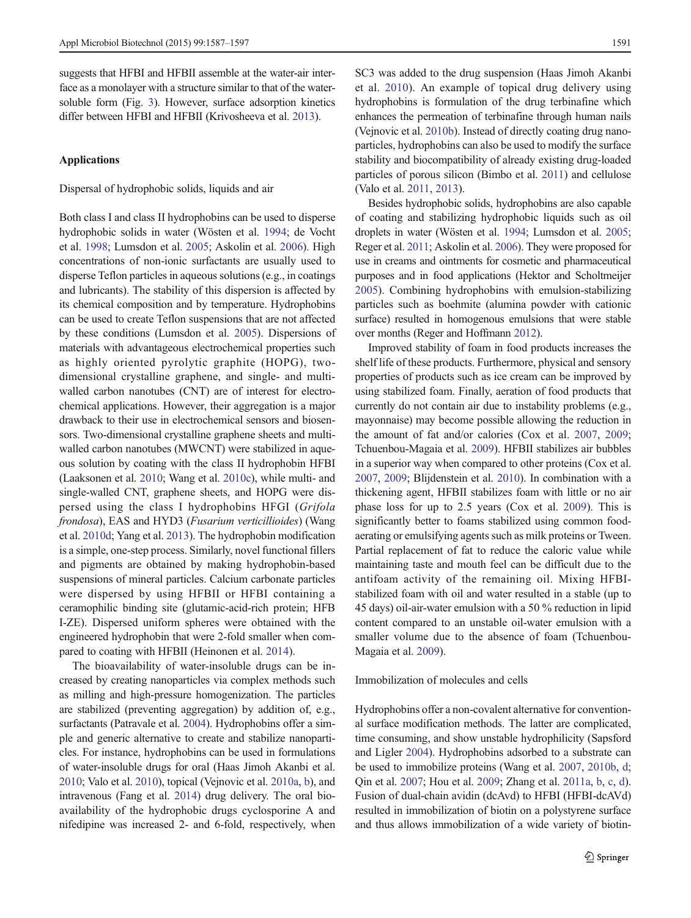suggests that HFBI and HFBII assemble at the water-air interface as a monolayer with a structure similar to that of the watersoluble form (Fig. [3\)](#page-3-0). However, surface adsorption kinetics differ between HFBI and HFBII (Krivosheeva et al. [2013](#page-8-0)).

# Applications

Dispersal of hydrophobic solids, liquids and air

Both class I and class II hydrophobins can be used to disperse hydrophobic solids in water (Wösten et al. [1994](#page-10-0); de Vocht et al. [1998;](#page-7-0) Lumsdon et al. [2005;](#page-8-0) Askolin et al. [2006](#page-7-0)). High concentrations of non-ionic surfactants are usually used to disperse Teflon particles in aqueous solutions (e.g., in coatings and lubricants). The stability of this dispersion is affected by its chemical composition and by temperature. Hydrophobins can be used to create Teflon suspensions that are not affected by these conditions (Lumsdon et al. [2005\)](#page-8-0). Dispersions of materials with advantageous electrochemical properties such as highly oriented pyrolytic graphite (HOPG), twodimensional crystalline graphene, and single- and multiwalled carbon nanotubes (CNT) are of interest for electrochemical applications. However, their aggregation is a major drawback to their use in electrochemical sensors and biosensors. Two-dimensional crystalline graphene sheets and multiwalled carbon nanotubes (MWCNT) were stabilized in aqueous solution by coating with the class II hydrophobin HFBI (Laaksonen et al. [2010](#page-8-0); Wang et al. [2010c](#page-9-0)), while multi- and single-walled CNT, graphene sheets, and HOPG were dispersed using the class I hydrophobins HFGI (Grifola frondosa), EAS and HYD3 (Fusarium verticillioides) (Wang et al. [2010d;](#page-10-0) Yang et al. [2013\)](#page-10-0). The hydrophobin modification is a simple, one-step process. Similarly, novel functional fillers and pigments are obtained by making hydrophobin-based suspensions of mineral particles. Calcium carbonate particles were dispersed by using HFBII or HFBI containing a ceramophilic binding site (glutamic-acid-rich protein; HFB I-ZE). Dispersed uniform spheres were obtained with the engineered hydrophobin that were 2-fold smaller when compared to coating with HFBII (Heinonen et al. [2014\)](#page-7-0).

The bioavailability of water-insoluble drugs can be increased by creating nanoparticles via complex methods such as milling and high-pressure homogenization. The particles are stabilized (preventing aggregation) by addition of, e.g., surfactants (Patravale et al. [2004\)](#page-8-0). Hydrophobins offer a simple and generic alternative to create and stabilize nanoparticles. For instance, hydrophobins can be used in formulations of water-insoluble drugs for oral (Haas Jimoh Akanbi et al. [2010;](#page-7-0) Valo et al. [2010](#page-9-0)), topical (Vejnovic et al. [2010a](#page-9-0), [b](#page-9-0)), and intravenous (Fang et al. [2014\)](#page-7-0) drug delivery. The oral bioavailability of the hydrophobic drugs cyclosporine A and nifedipine was increased 2- and 6-fold, respectively, when SC3 was added to the drug suspension (Haas Jimoh Akanbi et al. [2010](#page-7-0)). An example of topical drug delivery using hydrophobins is formulation of the drug terbinafine which enhances the permeation of terbinafine through human nails (Vejnovic et al. [2010b](#page-9-0)). Instead of directly coating drug nanoparticles, hydrophobins can also be used to modify the surface stability and biocompatibility of already existing drug-loaded particles of porous silicon (Bimbo et al. [2011](#page-7-0)) and cellulose (Valo et al. [2011,](#page-9-0) [2013](#page-9-0)).

Besides hydrophobic solids, hydrophobins are also capable of coating and stabilizing hydrophobic liquids such as oil droplets in water (Wösten et al. [1994](#page-10-0); Lumsdon et al. [2005;](#page-8-0) Reger et al. [2011;](#page-9-0) Askolin et al. [2006](#page-7-0)). They were proposed for use in creams and ointments for cosmetic and pharmaceutical purposes and in food applications (Hektor and Scholtmeijer [2005\)](#page-7-0). Combining hydrophobins with emulsion-stabilizing particles such as boehmite (alumina powder with cationic surface) resulted in homogenous emulsions that were stable over months (Reger and Hoffmann [2012\)](#page-9-0).

Improved stability of foam in food products increases the shelf life of these products. Furthermore, physical and sensory properties of products such as ice cream can be improved by using stabilized foam. Finally, aeration of food products that currently do not contain air due to instability problems (e.g., mayonnaise) may become possible allowing the reduction in the amount of fat and/or calories (Cox et al. [2007](#page-7-0), [2009;](#page-7-0) Tchuenbou-Magaia et al. [2009\)](#page-9-0). HFBII stabilizes air bubbles in a superior way when compared to other proteins (Cox et al. [2007,](#page-7-0) [2009;](#page-7-0) Blijdenstein et al. [2010](#page-7-0)). In combination with a thickening agent, HFBII stabilizes foam with little or no air phase loss for up to 2.5 years (Cox et al. [2009\)](#page-7-0). This is significantly better to foams stabilized using common foodaerating or emulsifying agents such as milk proteins or Tween. Partial replacement of fat to reduce the caloric value while maintaining taste and mouth feel can be difficult due to the antifoam activity of the remaining oil. Mixing HFBIstabilized foam with oil and water resulted in a stable (up to 45 days) oil-air-water emulsion with a 50 % reduction in lipid content compared to an unstable oil-water emulsion with a smaller volume due to the absence of foam (Tchuenbou-Magaia et al. [2009\)](#page-9-0).

## Immobilization of molecules and cells

Hydrophobins offer a non-covalent alternative for conventional surface modification methods. The latter are complicated, time consuming, and show unstable hydrophilicity (Sapsford and Ligler [2004\)](#page-9-0). Hydrophobins adsorbed to a substrate can be used to immobilize proteins (Wang et al. [2007](#page-9-0), [2010b](#page-9-0), [d;](#page-10-0) Qin et al. [2007;](#page-9-0) Hou et al. [2009;](#page-7-0) Zhang et al. [2011a](#page-10-0), [b](#page-10-0), [c,](#page-10-0) [d\)](#page-10-0). Fusion of dual-chain avidin (dcAvd) to HFBI (HFBI-dcAVd) resulted in immobilization of biotin on a polystyrene surface and thus allows immobilization of a wide variety of biotin-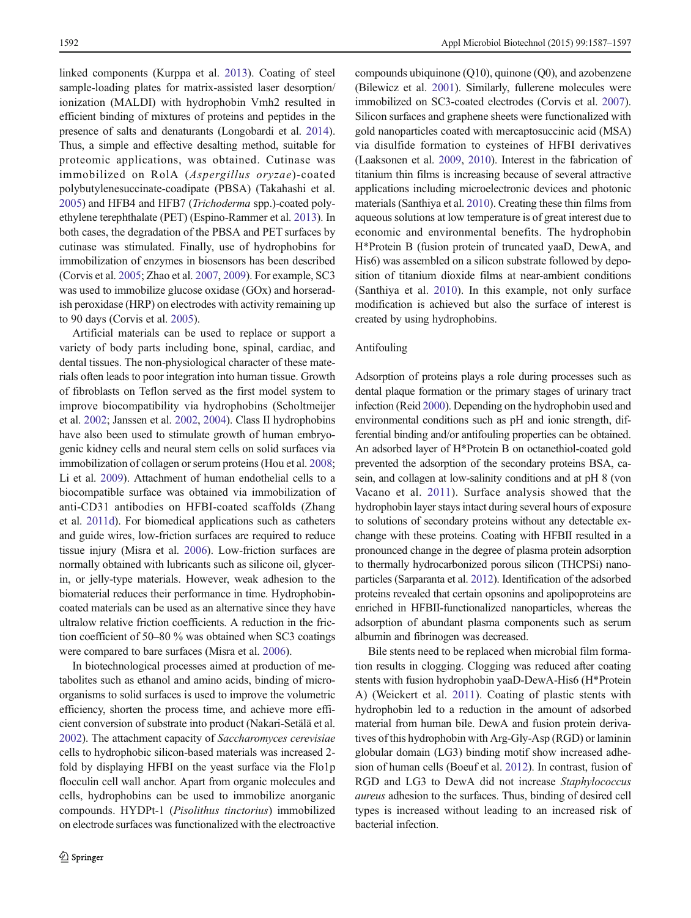linked components (Kurppa et al. [2013\)](#page-8-0). Coating of steel sample-loading plates for matrix-assisted laser desorption/ ionization (MALDI) with hydrophobin Vmh2 resulted in efficient binding of mixtures of proteins and peptides in the presence of salts and denaturants (Longobardi et al. [2014\)](#page-8-0). Thus, a simple and effective desalting method, suitable for proteomic applications, was obtained. Cutinase was immobilized on RolA (Aspergillus oryzae)-coated polybutylenesuccinate-coadipate (PBSA) (Takahashi et al. [2005\)](#page-9-0) and HFB4 and HFB7 (Trichoderma spp.)-coated polyethylene terephthalate (PET) (Espino-Rammer et al. [2013](#page-7-0)). In both cases, the degradation of the PBSA and PET surfaces by cutinase was stimulated. Finally, use of hydrophobins for immobilization of enzymes in biosensors has been described (Corvis et al. [2005;](#page-7-0) Zhao et al. [2007](#page-10-0), [2009](#page-10-0)). For example, SC3 was used to immobilize glucose oxidase (GOx) and horseradish peroxidase (HRP) on electrodes with activity remaining up to 90 days (Corvis et al. [2005\)](#page-7-0).

Artificial materials can be used to replace or support a variety of body parts including bone, spinal, cardiac, and dental tissues. The non-physiological character of these materials often leads to poor integration into human tissue. Growth of fibroblasts on Teflon served as the first model system to improve biocompatibility via hydrophobins (Scholtmeijer et al. [2002](#page-9-0); Janssen et al. [2002](#page-7-0), [2004\)](#page-8-0). Class II hydrophobins have also been used to stimulate growth of human embryogenic kidney cells and neural stem cells on solid surfaces via immobilization of collagen or serum proteins (Hou et al. [2008](#page-7-0); Li et al. [2009](#page-8-0)). Attachment of human endothelial cells to a biocompatible surface was obtained via immobilization of anti-CD31 antibodies on HFBI-coated scaffolds (Zhang et al. [2011d\)](#page-10-0). For biomedical applications such as catheters and guide wires, low-friction surfaces are required to reduce tissue injury (Misra et al. [2006](#page-8-0)). Low-friction surfaces are normally obtained with lubricants such as silicone oil, glycerin, or jelly-type materials. However, weak adhesion to the biomaterial reduces their performance in time. Hydrophobincoated materials can be used as an alternative since they have ultralow relative friction coefficients. A reduction in the friction coefficient of 50–80 % was obtained when SC3 coatings were compared to bare surfaces (Misra et al. [2006](#page-8-0)).

In biotechnological processes aimed at production of metabolites such as ethanol and amino acids, binding of microorganisms to solid surfaces is used to improve the volumetric efficiency, shorten the process time, and achieve more efficient conversion of substrate into product (Nakari-Setälä et al. [2002\)](#page-8-0). The attachment capacity of Saccharomyces cerevisiae cells to hydrophobic silicon-based materials was increased 2 fold by displaying HFBI on the yeast surface via the Flo1p flocculin cell wall anchor. Apart from organic molecules and cells, hydrophobins can be used to immobilize anorganic compounds. HYDPt-1 (Pisolithus tinctorius) immobilized on electrode surfaces was functionalized with the electroactive compounds ubiquinone (Q10), quinone (Q0), and azobenzene (Bilewicz et al. [2001](#page-7-0)). Similarly, fullerene molecules were immobilized on SC3-coated electrodes (Corvis et al. [2007\)](#page-7-0). Silicon surfaces and graphene sheets were functionalized with gold nanoparticles coated with mercaptosuccinic acid (MSA) via disulfide formation to cysteines of HFBI derivatives (Laaksonen et al. [2009,](#page-8-0) [2010](#page-8-0)). Interest in the fabrication of titanium thin films is increasing because of several attractive applications including microelectronic devices and photonic materials (Santhiya et al. [2010](#page-9-0)). Creating these thin films from aqueous solutions at low temperature is of great interest due to economic and environmental benefits. The hydrophobin H\*Protein B (fusion protein of truncated yaaD, DewA, and His6) was assembled on a silicon substrate followed by deposition of titanium dioxide films at near-ambient conditions (Santhiya et al. [2010](#page-9-0)). In this example, not only surface modification is achieved but also the surface of interest is created by using hydrophobins.

#### Antifouling

Adsorption of proteins plays a role during processes such as dental plaque formation or the primary stages of urinary tract infection (Reid [2000\)](#page-9-0). Depending on the hydrophobin used and environmental conditions such as pH and ionic strength, differential binding and/or antifouling properties can be obtained. An adsorbed layer of H\*Protein B on octanethiol-coated gold prevented the adsorption of the secondary proteins BSA, casein, and collagen at low-salinity conditions and at pH 8 (von Vacano et al. [2011](#page-9-0)). Surface analysis showed that the hydrophobin layer stays intact during several hours of exposure to solutions of secondary proteins without any detectable exchange with these proteins. Coating with HFBII resulted in a pronounced change in the degree of plasma protein adsorption to thermally hydrocarbonized porous silicon (THCPSi) nanoparticles (Sarparanta et al. [2012](#page-9-0)). Identification of the adsorbed proteins revealed that certain opsonins and apolipoproteins are enriched in HFBII-functionalized nanoparticles, whereas the adsorption of abundant plasma components such as serum albumin and fibrinogen was decreased.

Bile stents need to be replaced when microbial film formation results in clogging. Clogging was reduced after coating stents with fusion hydrophobin yaaD-DewA-His6 (H\*Protein A) (Weickert et al. [2011\)](#page-10-0). Coating of plastic stents with hydrophobin led to a reduction in the amount of adsorbed material from human bile. DewA and fusion protein derivatives of this hydrophobin with Arg-Gly-Asp (RGD) or laminin globular domain (LG3) binding motif show increased adhesion of human cells (Boeuf et al. [2012](#page-7-0)). In contrast, fusion of RGD and LG3 to DewA did not increase Staphylococcus aureus adhesion to the surfaces. Thus, binding of desired cell types is increased without leading to an increased risk of bacterial infection.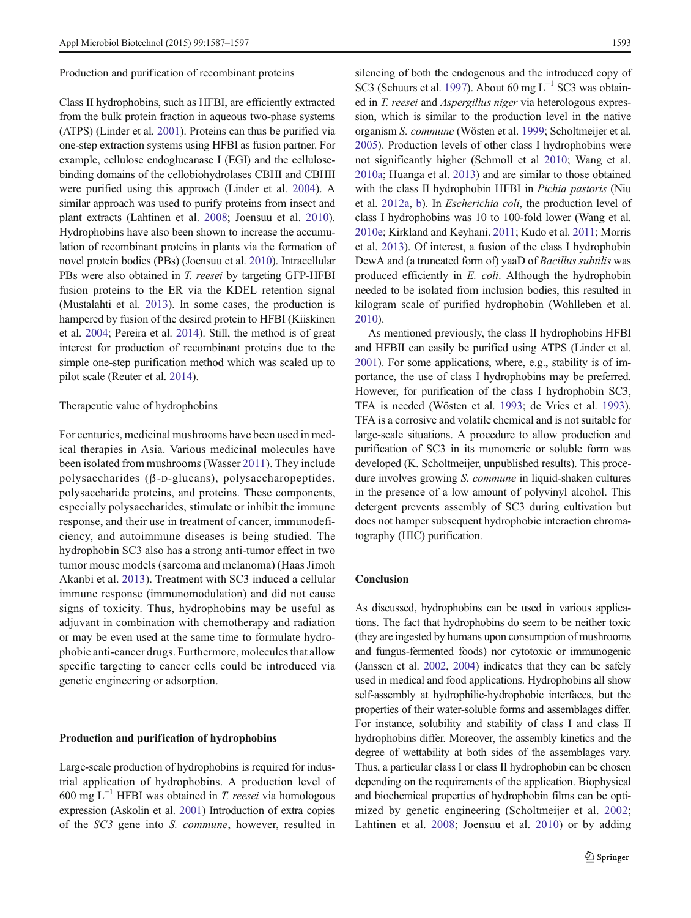Production and purification of recombinant proteins

Class II hydrophobins, such as HFBI, are efficiently extracted from the bulk protein fraction in aqueous two-phase systems (ATPS) (Linder et al. [2001](#page-8-0)). Proteins can thus be purified via one-step extraction systems using HFBI as fusion partner. For example, cellulose endoglucanase I (EGI) and the cellulosebinding domains of the cellobiohydrolases CBHI and CBHII were purified using this approach (Linder et al. [2004](#page-8-0)). A similar approach was used to purify proteins from insect and plant extracts (Lahtinen et al. [2008;](#page-8-0) Joensuu et al. [2010](#page-8-0)). Hydrophobins have also been shown to increase the accumulation of recombinant proteins in plants via the formation of novel protein bodies (PBs) (Joensuu et al. [2010](#page-8-0)). Intracellular PBs were also obtained in *T. reesei* by targeting GFP-HFBI fusion proteins to the ER via the KDEL retention signal (Mustalahti et al. [2013](#page-8-0)). In some cases, the production is hampered by fusion of the desired protein to HFBI (Kiiskinen et al. [2004](#page-8-0); Pereira et al. [2014](#page-8-0)). Still, the method is of great interest for production of recombinant proteins due to the simple one-step purification method which was scaled up to pilot scale (Reuter et al. [2014\)](#page-9-0).

#### Therapeutic value of hydrophobins

For centuries, medicinal mushrooms have been used in medical therapies in Asia. Various medicinal molecules have been isolated from mushrooms (Wasser [2011](#page-10-0)). They include polysaccharides (β-D-glucans), polysaccharopeptides, polysaccharide proteins, and proteins. These components, especially polysaccharides, stimulate or inhibit the immune response, and their use in treatment of cancer, immunodeficiency, and autoimmune diseases is being studied. The hydrophobin SC3 also has a strong anti-tumor effect in two tumor mouse models (sarcoma and melanoma) (Haas Jimoh Akanbi et al. [2013\)](#page-7-0). Treatment with SC3 induced a cellular immune response (immunomodulation) and did not cause signs of toxicity. Thus, hydrophobins may be useful as adjuvant in combination with chemotherapy and radiation or may be even used at the same time to formulate hydrophobic anti-cancer drugs. Furthermore, molecules that allow specific targeting to cancer cells could be introduced via genetic engineering or adsorption.

#### Production and purification of hydrophobins

Large-scale production of hydrophobins is required for industrial application of hydrophobins. A production level of 600 mg L<sup>-1</sup> HFBI was obtained in *T. reesei* via homologous expression (Askolin et al. [2001](#page-7-0)) Introduction of extra copies of the SC3 gene into S. commune, however, resulted in silencing of both the endogenous and the introduced copy of SC3 (Schuurs et al. [1997\)](#page-9-0). About 60 mg L<sup>-1</sup> SC3 was obtained in T. reesei and Aspergillus niger via heterologous expression, which is similar to the production level in the native organism S. commune (Wösten et al. [1999](#page-10-0); Scholtmeijer et al. [2005\)](#page-9-0). Production levels of other class I hydrophobins were not significantly higher (Schmoll et al [2010](#page-9-0); Wang et al. [2010a;](#page-9-0) Huanga et al. [2013](#page-7-0)) and are similar to those obtained with the class II hydrophobin HFBI in Pichia pastoris (Niu et al. [2012a,](#page-8-0) [b\)](#page-8-0). In Escherichia coli, the production level of class I hydrophobins was 10 to 100-fold lower (Wang et al. [2010e;](#page-10-0) Kirkland and Keyhani. [2011](#page-8-0); Kudo et al. [2011](#page-8-0); Morris et al. [2013](#page-8-0)). Of interest, a fusion of the class I hydrophobin DewA and (a truncated form of) yaaD of Bacillus subtilis was produced efficiently in E. coli. Although the hydrophobin needed to be isolated from inclusion bodies, this resulted in kilogram scale of purified hydrophobin (Wohlleben et al. [2010\)](#page-10-0).

As mentioned previously, the class II hydrophobins HFBI and HFBII can easily be purified using ATPS (Linder et al. [2001\)](#page-8-0). For some applications, where, e.g., stability is of importance, the use of class I hydrophobins may be preferred. However, for purification of the class I hydrophobin SC3, TFA is needed (Wösten et al. [1993;](#page-10-0) de Vries et al. [1993\)](#page-7-0). TFA is a corrosive and volatile chemical and is not suitable for large-scale situations. A procedure to allow production and purification of SC3 in its monomeric or soluble form was developed (K. Scholtmeijer, unpublished results). This procedure involves growing S. commune in liquid-shaken cultures in the presence of a low amount of polyvinyl alcohol. This detergent prevents assembly of SC3 during cultivation but does not hamper subsequent hydrophobic interaction chromatography (HIC) purification.

# Conclusion

As discussed, hydrophobins can be used in various applications. The fact that hydrophobins do seem to be neither toxic (they are ingested by humans upon consumption of mushrooms and fungus-fermented foods) nor cytotoxic or immunogenic (Janssen et al. [2002,](#page-7-0) [2004\)](#page-8-0) indicates that they can be safely used in medical and food applications. Hydrophobins all show self-assembly at hydrophilic-hydrophobic interfaces, but the properties of their water-soluble forms and assemblages differ. For instance, solubility and stability of class I and class II hydrophobins differ. Moreover, the assembly kinetics and the degree of wettability at both sides of the assemblages vary. Thus, a particular class I or class II hydrophobin can be chosen depending on the requirements of the application. Biophysical and biochemical properties of hydrophobin films can be optimized by genetic engineering (Scholtmeijer et al. [2002;](#page-9-0) Lahtinen et al. [2008](#page-8-0); Joensuu et al. [2010](#page-8-0)) or by adding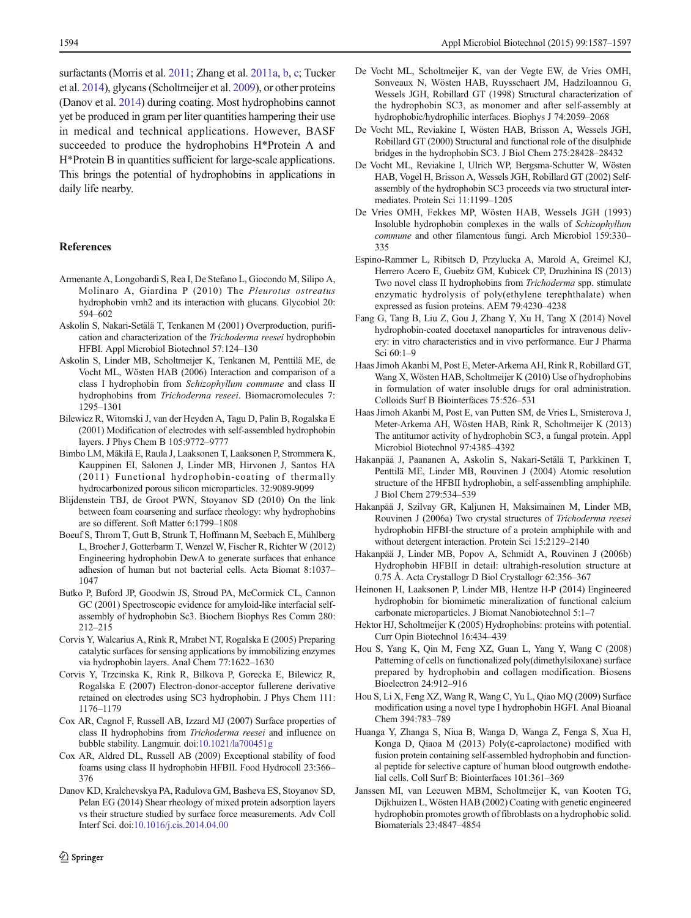<span id="page-7-0"></span>surfactants (Morris et al. [2011](#page-8-0); Zhang et al. [2011a](#page-10-0), [b,](#page-10-0) [c;](#page-10-0) Tucker et al. [2014\)](#page-9-0), glycans (Scholtmeijer et al. [2009](#page-9-0)), or other proteins (Danov et al. 2014) during coating. Most hydrophobins cannot yet be produced in gram per liter quantities hampering their use in medical and technical applications. However, BASF succeeded to produce the hydrophobins H\*Protein A and H\*Protein B in quantities sufficient for large-scale applications. This brings the potential of hydrophobins in applications in daily life nearby.

#### References

- Armenante A, Longobardi S, Rea I, De Stefano L, Giocondo M, Silipo A, Molinaro A, Giardina P (2010) The Pleurotus ostreatus hydrophobin vmh2 and its interaction with glucans. Glycobiol 20: 594–602
- Askolin S, Nakari-Setälä T, Tenkanen M (2001) Overproduction, purification and characterization of the Trichoderma reesei hydrophobin HFBI. Appl Microbiol Biotechnol 57:124–130
- Askolin S, Linder MB, Scholtmeijer K, Tenkanen M, Penttilä ME, de Vocht ML, Wösten HAB (2006) Interaction and comparison of a class I hydrophobin from Schizophyllum commune and class II hydrophobins from Trichoderma reseei. Biomacromolecules 7: 1295–1301
- Bilewicz R, Witomski J, van der Heyden A, Tagu D, Palin B, Rogalska E (2001) Modification of electrodes with self-assembled hydrophobin layers. J Phys Chem B 105:9772–9777
- Bimbo LM, Mäkilä E, Raula J, Laaksonen T, Laaksonen P, Strommera K, Kauppinen EI, Salonen J, Linder MB, Hirvonen J, Santos HA (2011) Functional hydrophobin-coating of thermally hydrocarbonized porous silicon microparticles. 32:9089-9099
- Blijdenstein TBJ, de Groot PWN, Stoyanov SD (2010) On the link between foam coarsening and surface rheology: why hydrophobins are so different. Soft Matter 6:1799–1808
- Boeuf S, Throm T, Gutt B, Strunk T, Hoffmann M, Seebach E, Mühlberg L, Brocher J, Gotterbarm T, Wenzel W, Fischer R, Richter W (2012) Engineering hydrophobin DewA to generate surfaces that enhance adhesion of human but not bacterial cells. Acta Biomat 8:1037– 1047
- Butko P, Buford JP, Goodwin JS, Stroud PA, McCormick CL, Cannon GC (2001) Spectroscopic evidence for amyloid-like interfacial selfassembly of hydrophobin Sc3. Biochem Biophys Res Comm 280: 212–215
- Corvis Y, Walcarius A, Rink R, Mrabet NT, Rogalska E (2005) Preparing catalytic surfaces for sensing applications by immobilizing enzymes via hydrophobin layers. Anal Chem 77:1622–1630
- Corvis Y, Trzcinska K, Rink R, Bilkova P, Gorecka E, Bilewicz R, Rogalska E (2007) Electron-donor-acceptor fullerene derivative retained on electrodes using SC3 hydrophobin. J Phys Chem 111: 1176–1179
- Cox AR, Cagnol F, Russell AB, Izzard MJ (2007) Surface properties of class II hydrophobins from Trichoderma reesei and influence on bubble stability. Langmuir. doi[:10.1021/la700451g](http://dx.doi.org/10.1021/la700451g)
- Cox AR, Aldred DL, Russell AB (2009) Exceptional stability of food foams using class II hydrophobin HFBII. Food Hydrocoll 23:366– 376
- Danov KD, Kralchevskya PA, Radulova GM, Basheva ES, Stoyanov SD, Pelan EG (2014) Shear rheology of mixed protein adsorption layers vs their structure studied by surface force measurements. Adv Coll Interf Sci. doi[:10.1016/j.cis.2014.04.00](http://dx.doi.org/10.1016/j.cis.2014.04.00)
- De Vocht ML, Scholtmeijer K, van der Vegte EW, de Vries OMH, Sonveaux N, Wösten HAB, Ruysschaert JM, Hadziloannou G, Wessels JGH, Robillard GT (1998) Structural characterization of the hydrophobin SC3, as monomer and after self-assembly at hydrophobic/hydrophilic interfaces. Biophys J 74:2059–2068
- De Vocht ML, Reviakine I, Wösten HAB, Brisson A, Wessels JGH, Robillard GT (2000) Structural and functional role of the disulphide bridges in the hydrophobin SC3. J Biol Chem 275:28428–28432
- De Vocht ML, Reviakine I, Ulrich WP, Bergsma-Schutter W, Wösten HAB, Vogel H, Brisson A, Wessels JGH, Robillard GT (2002) Selfassembly of the hydrophobin SC3 proceeds via two structural intermediates. Protein Sci 11:1199–1205
- De Vries OMH, Fekkes MP, Wösten HAB, Wessels JGH (1993) Insoluble hydrophobin complexes in the walls of Schizophyllum commune and other filamentous fungi. Arch Microbiol 159:330– 335
- Espino-Rammer L, Ribitsch D, Przylucka A, Marold A, Greimel KJ, Herrero Acero E, Guebitz GM, Kubicek CP, Druzhinina IS (2013) Two novel class II hydrophobins from Trichoderma spp. stimulate enzymatic hydrolysis of poly(ethylene terephthalate) when expressed as fusion proteins. AEM 79:4230–4238
- Fang G, Tang B, Liu Z, Gou J, Zhang Y, Xu H, Tang X (2014) Novel hydrophobin-coated docetaxel nanoparticles for intravenous delivery: in vitro characteristics and in vivo performance. Eur J Pharma Sci 60:1–9
- Haas Jimoh Akanbi M, Post E, Meter-Arkema AH, Rink R, Robillard GT, Wang X, Wösten HAB, Scholtmeijer K (2010) Use of hydrophobins in formulation of water insoluble drugs for oral administration. Colloids Surf B Biointerfaces 75:526–531
- Haas Jimoh Akanbi M, Post E, van Putten SM, de Vries L, Smisterova J, Meter-Arkema AH, Wösten HAB, Rink R, Scholtmeijer K (2013) The antitumor activity of hydrophobin SC3, a fungal protein. Appl Microbiol Biotechnol 97:4385–4392
- Hakanpää J, Paananen A, Askolin S, Nakari-Setälä T, Parkkinen T, Penttilä ME, Linder MB, Rouvinen J (2004) Atomic resolution structure of the HFBII hydrophobin, a self-assembling amphiphile. J Biol Chem 279:534–539
- Hakanpää J, Szilvay GR, Kaljunen H, Maksimainen M, Linder MB, Rouvinen J (2006a) Two crystal structures of Trichoderma reesei hydrophobin HFBI-the structure of a protein amphiphile with and without detergent interaction. Protein Sci 15:2129–2140
- Hakanpää J, Linder MB, Popov A, Schmidt A, Rouvinen J (2006b) Hydrophobin HFBII in detail: ultrahigh-resolution structure at 0.75 Å. Acta Crystallogr D Biol Crystallogr 62:356–367
- Heinonen H, Laaksonen P, Linder MB, Hentze H-P (2014) Engineered hydrophobin for biomimetic mineralization of functional calcium carbonate microparticles. J Biomat Nanobiotechnol 5:1–7
- Hektor HJ, Scholtmeijer K (2005) Hydrophobins: proteins with potential. Curr Opin Biotechnol 16:434–439
- Hou S, Yang K, Qin M, Feng XZ, Guan L, Yang Y, Wang C (2008) Patterning of cells on functionalized poly(dimethylsiloxane) surface prepared by hydrophobin and collagen modification. Biosens Bioelectron 24:912–916
- Hou S, Li X, Feng XZ, Wang R, Wang C, Yu L, Qiao MQ (2009) Surface modification using a novel type I hydrophobin HGFI. Anal Bioanal Chem 394:783–789
- Huanga Y, Zhanga S, Niua B, Wanga D, Wanga Z, Fenga S, Xua H, Konga D, Qiaoa M (2013) Poly(ɛ-caprolactone) modified with fusion protein containing self-assembled hydrophobin and functional peptide for selective capture of human blood outgrowth endothelial cells. Coll Surf B: Biointerfaces 101:361–369
- Janssen MI, van Leeuwen MBM, Scholtmeijer K, van Kooten TG, Dijkhuizen L, Wösten HAB (2002) Coating with genetic engineered hydrophobin promotes growth of fibroblasts on a hydrophobic solid. Biomaterials 23:4847–4854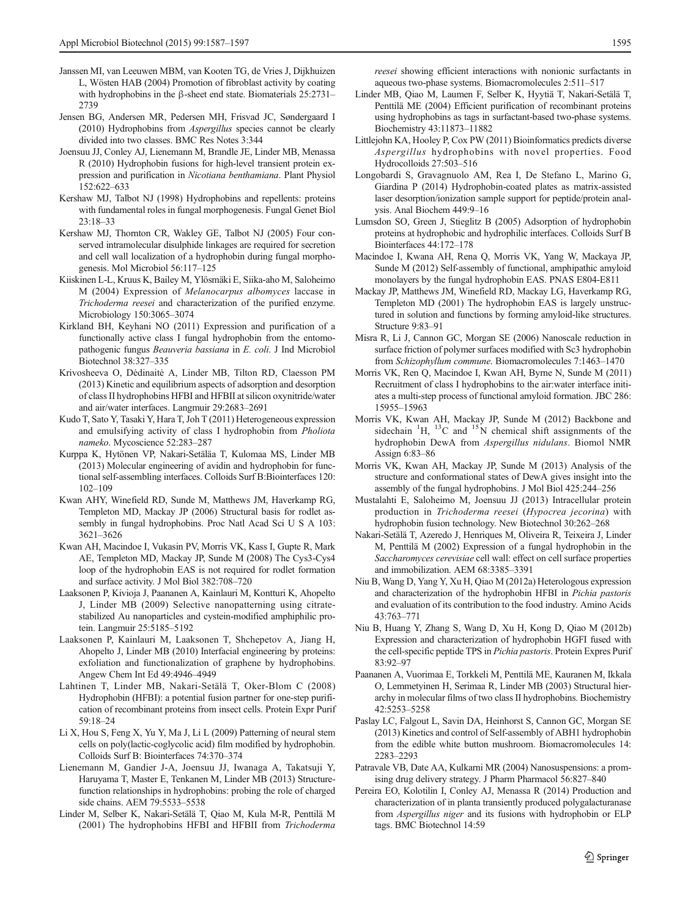- <span id="page-8-0"></span>Janssen MI, van Leeuwen MBM, van Kooten TG, de Vries J, Dijkhuizen L, Wösten HAB (2004) Promotion of fibroblast activity by coating with hydrophobins in the β-sheet end state. Biomaterials 25:2731– 2739
- Jensen BG, Andersen MR, Pedersen MH, Frisvad JC, Søndergaard I (2010) Hydrophobins from Aspergillus species cannot be clearly divided into two classes. BMC Res Notes 3:344
- Joensuu JJ, Conley AJ, Lienemann M, Brandle JE, Linder MB, Menassa R (2010) Hydrophobin fusions for high-level transient protein expression and purification in Nicotiana benthamiana. Plant Physiol 152:622–633
- Kershaw MJ, Talbot NJ (1998) Hydrophobins and repellents: proteins with fundamental roles in fungal morphogenesis. Fungal Genet Biol 23:18–33
- Kershaw MJ, Thornton CR, Wakley GE, Talbot NJ (2005) Four conserved intramolecular disulphide linkages are required for secretion and cell wall localization of a hydrophobin during fungal morphogenesis. Mol Microbiol 56:117–125
- Kiiskinen L-L, Kruus K, Bailey M, Ylösmäki E, Siika-aho M, Saloheimo M (2004) Expression of Melanocarpus albomyces laccase in Trichoderma reesei and characterization of the purified enzyme. Microbiology 150:3065–3074
- Kirkland BH, Keyhani NO (2011) Expression and purification of a functionally active class I fungal hydrophobin from the entomopathogenic fungus Beauveria bassiana in E. coli. J Ind Microbiol Biotechnol 38:327–335
- Krivosheeva O, Dėdinaitė A, Linder MB, Tilton RD, Claesson PM (2013) Kinetic and equilibrium aspects of adsorption and desorption of class II hydrophobins HFBI and HFBII at silicon oxynitride/water and air/water interfaces. Langmuir 29:2683–2691
- Kudo T, Sato Y, Tasaki Y, Hara T, Joh T (2011) Heterogeneous expression and emulsifying activity of class I hydrophobin from Pholiota nameko. Mycoscience 52:283–287
- Kurppa K, Hytönen VP, Nakari-Setäläa T, Kulomaa MS, Linder MB (2013) Molecular engineering of avidin and hydrophobin for functional self-assembling interfaces. Colloids Surf B:Biointerfaces 120: 102–109
- Kwan AHY, Winefield RD, Sunde M, Matthews JM, Haverkamp RG, Templeton MD, Mackay JP (2006) Structural basis for rodlet assembly in fungal hydrophobins. Proc Natl Acad Sci U S A 103: 3621–3626
- Kwan AH, Macindoe I, Vukasin PV, Morris VK, Kass I, Gupte R, Mark AE, Templeton MD, Mackay JP, Sunde M (2008) The Cys3-Cys4 loop of the hydrophobin EAS is not required for rodlet formation and surface activity. J Mol Biol 382:708–720
- Laaksonen P, Kivioja J, Paananen A, Kainlauri M, Kontturi K, Ahopelto J, Linder MB (2009) Selective nanopatterning using citratestabilized Au nanoparticles and cystein-modified amphiphilic protein. Langmuir 25:5185–5192
- Laaksonen P, Kainlauri M, Laaksonen T, Shchepetov A, Jiang H, Ahopelto J, Linder MB (2010) Interfacial engineering by proteins: exfoliation and functionalization of graphene by hydrophobins. Angew Chem Int Ed 49:4946–4949
- Lahtinen T, Linder MB, Nakari-Setälä T, Oker-Blom C (2008) Hydrophobin (HFBI): a potential fusion partner for one-step purification of recombinant proteins from insect cells. Protein Expr Purif 59:18–24
- Li X, Hou S, Feng X, Yu Y, Ma J, Li L (2009) Patterning of neural stem cells on poly(lactic-coglycolic acid) film modified by hydrophobin. Colloids Surf B: Biointerfaces 74:370–374
- Lienemann M, Gandier J-A, Joensuu JJ, Iwanaga A, Takatsuji Y, Haruyama T, Master E, Tenkanen M, Linder MB (2013) Structurefunction relationships in hydrophobins: probing the role of charged side chains. AEM 79:5533–5538
- Linder M, Selber K, Nakari-Setälä T, Qiao M, Kula M-R, Penttilä M (2001) The hydrophobins HFBI and HFBII from Trichoderma

reesei showing efficient interactions with nonionic surfactants in aqueous two-phase systems. Biomacromolecules 2:511–517

- Linder MB, Qiao M, Laumen F, Selber K, Hyytiä T, Nakari-Setälä T, Penttilä ME (2004) Efficient purification of recombinant proteins using hydrophobins as tags in surfactant-based two-phase systems. Biochemistry 43:11873–11882
- Littlejohn KA, Hooley P, Cox PW (2011) Bioinformatics predicts diverse Aspergillus hydrophobins with novel properties. Food Hydrocolloids 27:503–516
- Longobardi S, Gravagnuolo AM, Rea I, De Stefano L, Marino G, Giardina P (2014) Hydrophobin-coated plates as matrix-assisted laser desorption/ionization sample support for peptide/protein analysis. Anal Biochem 449:9–16
- Lumsdon SO, Green J, Stieglitz B (2005) Adsorption of hydrophobin proteins at hydrophobic and hydrophilic interfaces. Colloids Surf B Biointerfaces 44:172–178
- Macindoe I, Kwana AH, Rena Q, Morris VK, Yang W, Mackaya JP, Sunde M (2012) Self-assembly of functional, amphipathic amyloid monolayers by the fungal hydrophobin EAS. PNAS E804-E811
- Mackay JP, Matthews JM, Winefield RD, Mackay LG, Haverkamp RG, Templeton MD (2001) The hydrophobin EAS is largely unstructured in solution and functions by forming amyloid-like structures. Structure 9:83–91
- Misra R, Li J, Cannon GC, Morgan SE (2006) Nanoscale reduction in surface friction of polymer surfaces modified with Sc3 hydrophobin from Schizophyllum commune. Biomacromolecules 7:1463–1470
- Morris VK, Ren Q, Macindoe I, Kwan AH, Byrne N, Sunde M (2011) Recruitment of class I hydrophobins to the air:water interface initiates a multi-step process of functional amyloid formation. JBC 286: 15955–15963
- Morris VK, Kwan AH, Mackay JP, Sunde M (2012) Backbone and sidechain  ${}^{1}$ H,  ${}^{13}$ C and  ${}^{15}$ N chemical shift assignments of the hydrophobin DewA from Aspergillus nidulans. Biomol NMR Assign 6:83–86
- Morris VK, Kwan AH, Mackay JP, Sunde M (2013) Analysis of the structure and conformational states of DewA gives insight into the assembly of the fungal hydrophobins. J Mol Biol 425:244–256
- Mustalahti E, Saloheimo M, Joensuu JJ (2013) Intracellular protein production in Trichoderma reesei (Hypocrea jecorina) with hydrophobin fusion technology. New Biotechnol 30:262–268
- Nakari-Setälä T, Azeredo J, Henriques M, Oliveira R, Teixeira J, Linder M, Penttilä M (2002) Expression of a fungal hydrophobin in the Saccharomyces cerevisiae cell wall: effect on cell surface properties and immobilization. AEM 68:3385–3391
- Niu B, Wang D, Yang Y, Xu H, Qiao M (2012a) Heterologous expression and characterization of the hydrophobin HFBI in Pichia pastoris and evaluation of its contribution to the food industry. Amino Acids 43:763–771
- Niu B, Huang Y, Zhang S, Wang D, Xu H, Kong D, Qiao M (2012b) Expression and characterization of hydrophobin HGFI fused with the cell-specific peptide TPS in Pichia pastoris. Protein Expres Purif 83:92–97
- Paananen A, Vuorimaa E, Torkkeli M, Penttilä ME, Kauranen M, Ikkala O, Lemmetyinen H, Serimaa R, Linder MB (2003) Structural hierarchy in molecular films of two class II hydrophobins. Biochemistry 42:5253–5258
- Paslay LC, Falgout L, Savin DA, Heinhorst S, Cannon GC, Morgan SE (2013) Kinetics and control of Self-assembly of ABH1 hydrophobin from the edible white button mushroom. Biomacromolecules 14: 2283–2293
- Patravale VB, Date AA, Kulkarni MR (2004) Nanosuspensions: a promising drug delivery strategy. J Pharm Pharmacol 56:827–840
- Pereira EO, Kolotilin I, Conley AJ, Menassa R (2014) Production and characterization of in planta transiently produced polygalacturanase from Aspergillus niger and its fusions with hydrophobin or ELP tags. BMC Biotechnol 14:59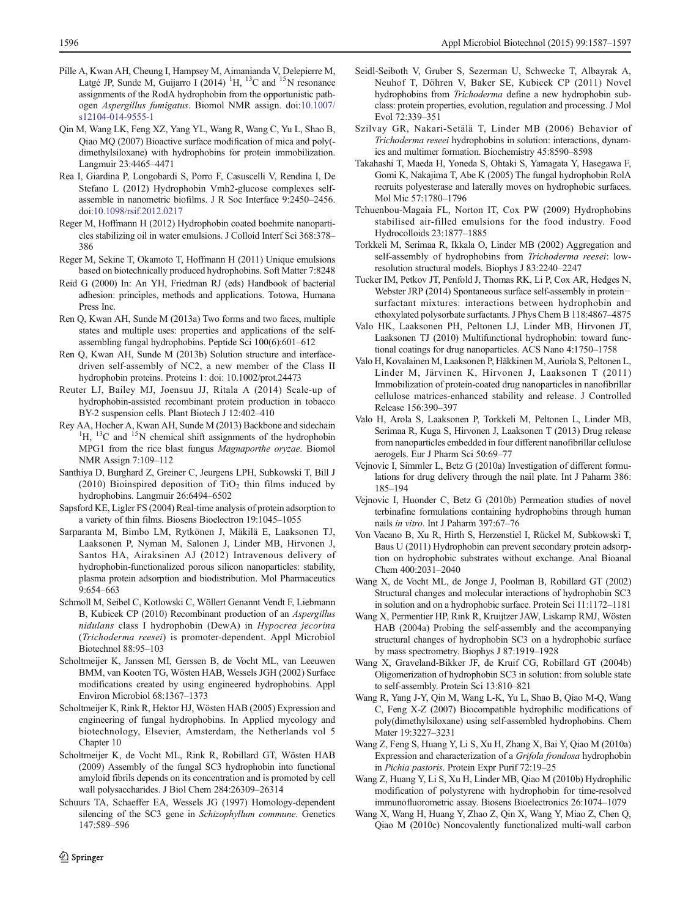- <span id="page-9-0"></span>Pille A, Kwan AH, Cheung I, Hampsey M, Aimanianda V, Delepierre M, Latgé JP, Sunde M, Guijarro I (2014) <sup>1</sup>H, <sup>13</sup>C and <sup>15</sup>N resonance assignments of the RodA hydrophobin from the opportunistic pathogen Aspergillus fumigatus. Biomol NMR assign. doi[:10.1007/](http://dx.doi.org/10.1007/s12104-014-9555-1) [s12104-014-9555-1](http://dx.doi.org/10.1007/s12104-014-9555-1)
- Qin M, Wang LK, Feng XZ, Yang YL, Wang R, Wang C, Yu L, Shao B, Qiao MQ (2007) Bioactive surface modification of mica and poly( dimethylsiloxane) with hydrophobins for protein immobilization. Langmuir 23:4465–4471
- Rea I, Giardina P, Longobardi S, Porro F, Casuscelli V, Rendina I, De Stefano L (2012) Hydrophobin Vmh2-glucose complexes selfassemble in nanometric biofilms. J R Soc Interface 9:2450–2456. doi:[10.1098/rsif.2012.0217](http://dx.doi.org/10.1098/rsif.2012.0217)
- Reger M, Hoffmann H (2012) Hydrophobin coated boehmite nanoparticles stabilizing oil in water emulsions. J Colloid Interf Sci 368:378– 386
- Reger M, Sekine T, Okamoto T, Hoffmann H (2011) Unique emulsions based on biotechnically produced hydrophobins. Soft Matter 7:8248
- Reid G (2000) In: An YH, Friedman RJ (eds) Handbook of bacterial adhesion: principles, methods and applications. Totowa, Humana Press Inc.
- Ren Q, Kwan AH, Sunde M (2013a) Two forms and two faces, multiple states and multiple uses: properties and applications of the selfassembling fungal hydrophobins. Peptide Sci 100(6):601–612
- Ren Q, Kwan AH, Sunde M (2013b) Solution structure and interfacedriven self-assembly of NC2, a new member of the Class II hydrophobin proteins. Proteins 1: doi: 10.1002/prot.24473
- Reuter LJ, Bailey MJ, Joensuu JJ, Ritala A (2014) Scale-up of hydrophobin-assisted recombinant protein production in tobacco BY-2 suspension cells. Plant Biotech J 12:402–410
- Rey AA, Hocher A, Kwan AH, Sunde M (2013) Backbone and sidechain <sup>1</sup>  ${}^{1}H, {}^{13}C$  and  ${}^{15}N$  chemical shift assignments of the hydrophobin MPG1 from the rice blast fungus Magnaporthe oryzae. Biomol NMR Assign 7:109–112
- Santhiya D, Burghard Z, Greiner C, Jeurgens LPH, Subkowski T, Bill J (2010) Bioinspired deposition of  $TiO<sub>2</sub>$  thin films induced by hydrophobins. Langmuir 26:6494–6502
- Sapsford KE, Ligler FS (2004) Real-time analysis of protein adsorption to a variety of thin films. Biosens Bioelectron 19:1045–1055
- Sarparanta M, Bimbo LM, Rytkönen J, Mäkilä E, Laaksonen TJ, Laaksonen P, Nyman M, Salonen J, Linder MB, Hirvonen J, Santos HA, Airaksinen AJ (2012) Intravenous delivery of hydrophobin-functionalized porous silicon nanoparticles: stability, plasma protein adsorption and biodistribution. Mol Pharmaceutics 9:654–663
- Schmoll M, Seibel C, Kotlowski C, Wöllert Genannt Vendt F, Liebmann B, Kubicek CP (2010) Recombinant production of an Aspergillus nidulans class I hydrophobin (DewA) in Hypocrea jecorina (Trichoderma reesei) is promoter-dependent. Appl Microbiol Biotechnol 88:95–103
- Scholtmeijer K, Janssen MI, Gerssen B, de Vocht ML, van Leeuwen BMM, van Kooten TG, Wösten HAB, Wessels JGH (2002) Surface modifications created by using engineered hydrophobins. Appl Environ Microbiol 68:1367–1373
- Scholtmeijer K, Rink R, Hektor HJ, Wösten HAB (2005) Expression and engineering of fungal hydrophobins. In Applied mycology and biotechnology, Elsevier, Amsterdam, the Netherlands vol 5 Chapter 10
- Scholtmeijer K, de Vocht ML, Rink R, Robillard GT, Wösten HAB (2009) Assembly of the fungal SC3 hydrophobin into functional amyloid fibrils depends on its concentration and is promoted by cell wall polysaccharides. J Biol Chem 284:26309–26314
- Schuurs TA, Schaeffer EA, Wessels JG (1997) Homology-dependent silencing of the SC3 gene in *Schizophyllum commune*. Genetics 147:589–596
- Seidl-Seiboth V, Gruber S, Sezerman U, Schwecke T, Albayrak A, Neuhof T, Döhren V, Baker SE, Kubicek CP (2011) Novel hydrophobins from Trichoderma define a new hydrophobin subclass: protein properties, evolution, regulation and processing. J Mol Evol 72:339–351
- Szilvay GR, Nakari-Setälä T, Linder MB (2006) Behavior of Trichoderma reseei hydrophobins in solution: interactions, dynamics and multimer formation. Biochemistry 45:8590–8598
- Takahashi T, Maeda H, Yoneda S, Ohtaki S, Yamagata Y, Hasegawa F, Gomi K, Nakajima T, Abe K (2005) The fungal hydrophobin RolA recruits polyesterase and laterally moves on hydrophobic surfaces. Mol Mic 57:1780–1796
- Tchuenbou-Magaia FL, Norton IT, Cox PW (2009) Hydrophobins stabilised air-filled emulsions for the food industry. Food Hydrocolloids 23:1877–1885
- Torkkeli M, Serimaa R, Ikkala O, Linder MB (2002) Aggregation and self-assembly of hydrophobins from Trichoderma reesei: lowresolution structural models. Biophys J 83:2240–2247
- Tucker IM, Petkov JT, Penfold J, Thomas RK, Li P, Cox AR, Hedges N, Webster JRP (2014) Spontaneous surface self-assembly in protein− surfactant mixtures: interactions between hydrophobin and ethoxylated polysorbate surfactants. J Phys Chem B 118:4867–4875
- Valo HK, Laaksonen PH, Peltonen LJ, Linder MB, Hirvonen JT, Laaksonen TJ (2010) Multifunctional hydrophobin: toward functional coatings for drug nanoparticles. ACS Nano 4:1750–1758
- Valo H, Kovalainen M, Laaksonen P, Häkkinen M, Auriola S, Peltonen L, Linder M, Järvinen K, Hirvonen J, Laaksonen T (2011) Immobilization of protein-coated drug nanoparticles in nanofibrillar cellulose matrices-enhanced stability and release. J Controlled Release 156:390–397
- Valo H, Arola S, Laaksonen P, Torkkeli M, Peltonen L, Linder MB, Serimaa R, Kuga S, Hirvonen J, Laaksonen T (2013) Drug release from nanoparticles embedded in four different nanofibrillar cellulose aerogels. Eur J Pharm Sci 50:69–77
- Vejnovic I, Simmler L, Betz G (2010a) Investigation of different formulations for drug delivery through the nail plate. Int J Paharm 386: 185–194
- Vejnovic I, Huonder C, Betz G (2010b) Permeation studies of novel terbinafine formulations containing hydrophobins through human nails in vitro. Int J Paharm 397:67–76
- Von Vacano B, Xu R, Hirth S, Herzenstiel I, Rückel M, Subkowski T, Baus U (2011) Hydrophobin can prevent secondary protein adsorption on hydrophobic substrates without exchange. Anal Bioanal Chem 400:2031–2040
- Wang X, de Vocht ML, de Jonge J, Poolman B, Robillard GT (2002) Structural changes and molecular interactions of hydrophobin SC3 in solution and on a hydrophobic surface. Protein Sci 11:1172–1181
- Wang X, Permentier HP, Rink R, Kruijtzer JAW, Liskamp RMJ, Wösten HAB (2004a) Probing the self-assembly and the accompanying structural changes of hydrophobin SC3 on a hydrophobic surface by mass spectrometry. Biophys J 87:1919–1928
- Wang X, Graveland-Bikker JF, de Kruif CG, Robillard GT (2004b) Oligomerization of hydrophobin SC3 in solution: from soluble state to self-assembly. Protein Sci 13:810–821
- Wang R, Yang J-Y, Qin M, Wang L-K, Yu L, Shao B, Qiao M-Q, Wang C, Feng X-Z (2007) Biocompatible hydrophilic modifications of poly(dimethylsiloxane) using self-assembled hydrophobins. Chem Mater 19:3227–3231
- Wang Z, Feng S, Huang Y, Li S, Xu H, Zhang X, Bai Y, Qiao M (2010a) Expression and characterization of a Grifola frondosa hydrophobin in Pichia pastoris. Protein Expr Purif 72:19–25
- Wang Z, Huang Y, Li S, Xu H, Linder MB, Qiao M (2010b) Hydrophilic modification of polystyrene with hydrophobin for time-resolved immunofluorometric assay. Biosens Bioelectronics 26:1074–1079
- Wang X, Wang H, Huang Y, Zhao Z, Qin X, Wang Y, Miao Z, Chen Q, Qiao M (2010c) Noncovalently functionalized multi-wall carbon